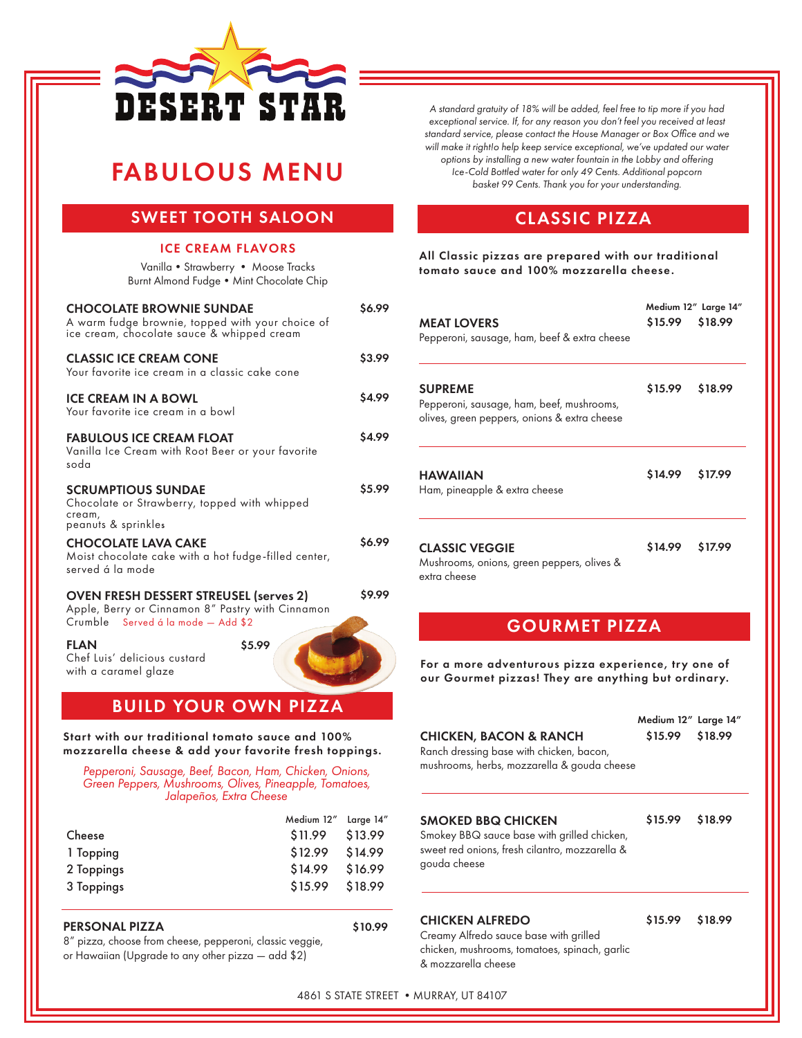

## FABULOUS MENU

## SWEET TOOTH SALOON

#### ICE CREAM FLAVORS

Vanilla•Strawberry • Moose Tracks Burnt Almond Fudge • Mint Chocolate Chip

| <b>CHOCOLATE BROWNIE SUNDAE</b><br>A warm fudge brownie, topped with your choice of<br>ice cream, chocolate sauce & whipped cream       | \$6.99 |
|-----------------------------------------------------------------------------------------------------------------------------------------|--------|
| <b>CLASSIC ICE CREAM CONE</b><br>Your favorite ice cream in a classic cake cone                                                         | \$3.99 |
| <b>ICE CREAM IN A BOWL</b><br>Your favorite ice cream in a bowl                                                                         | \$4.99 |
| <b>FABULOUS ICE CREAM FLOAT</b><br>Vanilla Ice Cream with Root Beer or your favorite<br>nhoz                                            | \$4.99 |
| <b>SCRUMPTIOUS SUNDAE</b><br>Chocolate or Strawberry, topped with whipped<br>cream,<br>peanuts & sprinkles                              | \$5.99 |
| <b>CHOCOLATE LAVA CAKE</b><br>Moist chocolate cake with a hot fudge-filled center,<br>served á la mode                                  | \$6.99 |
| <b>OVEN FRESH DESSERT STREUSEL (serves 2)</b><br>Apple, Berry or Cinnamon 8" Pastry with Cinnamon<br>Crumble Served á la mode - Add \$2 | \$9.99 |
| <b>FLAN</b><br>\$5.99<br>Chef Luis' delicious custard<br>with a caramel glaze                                                           |        |

BUILD YOUR OWN PIZZA

Start with our traditional tomato sauce and 100% mozzarella cheese & add your favorite fresh toppings.

*Pepperoni, Sausage, Beef, Bacon, Ham, Chicken, Onions, Green Peppers, Mushrooms, Olives, Pineapple, Tomatoes, Jalapeños, Extra Cheese*

|            | Medium 12" Large 14" |         |
|------------|----------------------|---------|
| Cheese     | \$11.99              | \$13.99 |
| 1 Topping  | \$12.99              | \$14.99 |
| 2 Toppings | \$14.99              | \$16.99 |
| 3 Toppings | \$15.99              | \$18.99 |
|            |                      |         |

#### PERSONAL PIZZA \$10.99

8" pizza, choose from cheese, pepperoni, classic veggie, or Hawaiian (Upgrade to any other pizza — add \$2)

*A standard gratuity of 18% will be added, feel free to tip more if you had exceptional service. If, for any reason you don't feel you received at least standard service, please contact the House Manager or Box Office and we will make it right!o help keep service exceptional, we've updated our water options by installing a new water fountain in the Lobby and offering Ice-Cold Bottled water for only 49 Cents. Additional popcorn basket 99 Cents. Thank you for your understanding.*

### CLASSIC PIZZA

All Classic pizzas are prepared with our traditional tomato sauce and 100% mozzarella cheese.

| <b>MEAT LOVERS</b><br>Pepperoni, sausage, ham, beef & extra cheese                                          | Medium 12" Large 14"<br>\$15.99<br>\$18.99 |         |
|-------------------------------------------------------------------------------------------------------------|--------------------------------------------|---------|
| <b>SUPREME</b><br>Pepperoni, sausage, ham, beef, mushrooms,<br>olives, green peppers, onions & extra cheese | \$15.99                                    | \$18.99 |
| <b>HAWAIIAN</b><br>Ham, pineapple & extra cheese                                                            | \$14.99 \$17.99                            |         |
| <b>CLASSIC VEGGIE</b><br>Mushrooms, onions, green peppers, olives &<br>extra cheese                         | \$14.99                                    | \$17.99 |

#### GOURMET PIZZA

For a more adventurous pizza experience, try one of our Gourmet pizzas! They are anything but ordinary.

| CHICKEN, BACON & RANCH<br>Ranch dressing base with chicken, bacon,<br>mushrooms, herbs, mozzarella & gouda cheese                   | Medium 12" Large 14"<br>\$15.99 \$18.99 |  |
|-------------------------------------------------------------------------------------------------------------------------------------|-----------------------------------------|--|
| SMOKED BBQ CHICKEN<br>Smokey BBQ sauce base with grilled chicken,<br>sweet red onions, fresh cilantro, mozzarella &<br>gouda cheese | \$15.99 \$18.99                         |  |
|                                                                                                                                     |                                         |  |

#### CHICKEN ALFREDO

\$15.99 \$18.99

Creamy Alfredo sauce base with grilled chicken, mushrooms, tomatoes, spinach, garlic & mozzarella cheese

4861 S STATE STREET • MURRAY, UT 84107